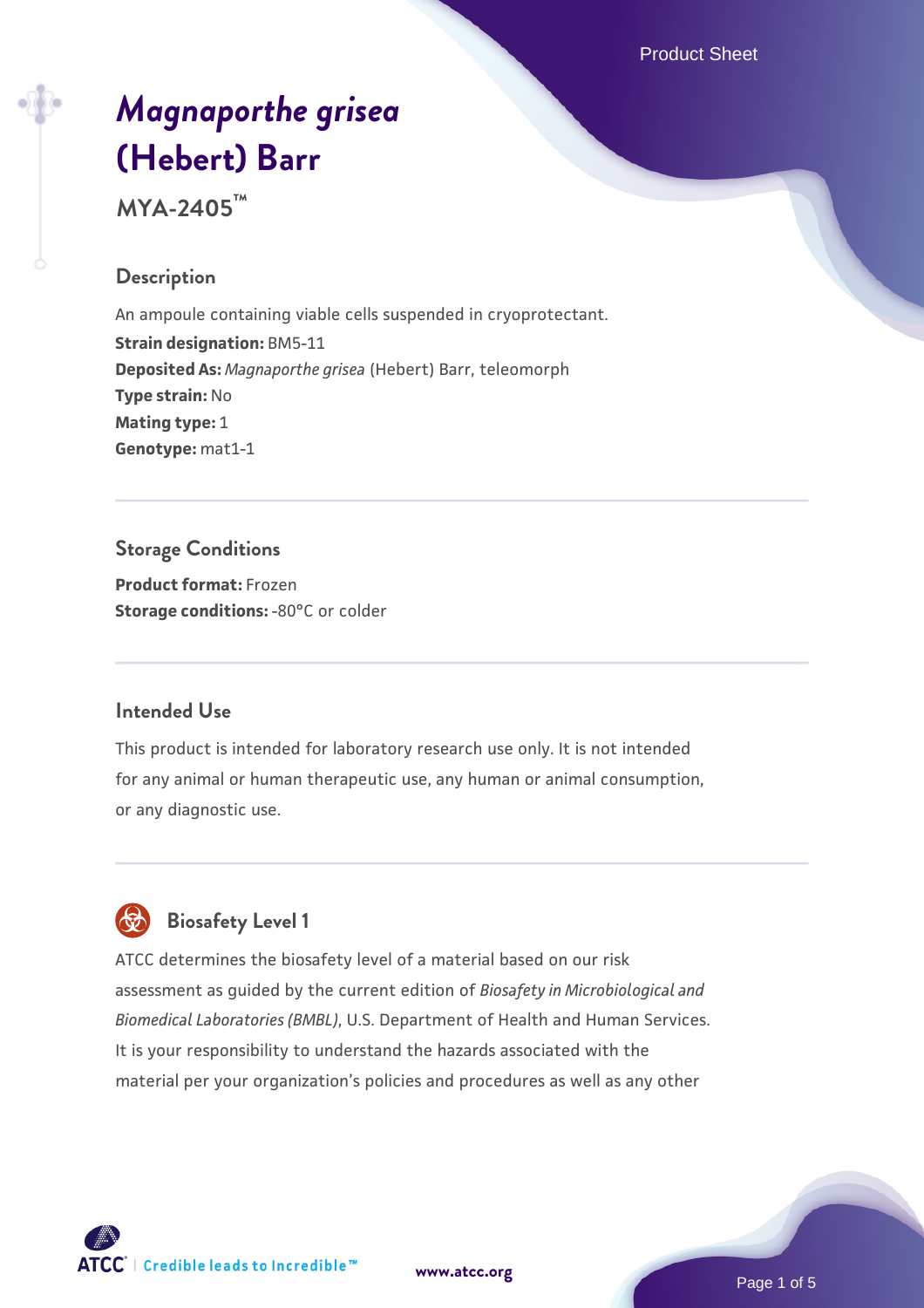Product Sheet

# *[Magnaporthe grisea](https://www.atcc.org/products/mya-2405)* **[\(Hebert\) Barr](https://www.atcc.org/products/mya-2405)**

**MYA-2405™**

## **Description**

An ampoule containing viable cells suspended in cryoprotectant. **Strain designation:** BM5-11 **Deposited As:** *Magnaporthe grisea* (Hebert) Barr, teleomorph **Type strain:** No **Mating type:** 1 **Genotype:** mat1-1

## **Storage Conditions**

**Product format:** Frozen **Storage conditions: -80°C or colder** 

## **Intended Use**

This product is intended for laboratory research use only. It is not intended for any animal or human therapeutic use, any human or animal consumption, or any diagnostic use.



## **Biosafety Level 1**

ATCC determines the biosafety level of a material based on our risk assessment as guided by the current edition of *Biosafety in Microbiological and Biomedical Laboratories (BMBL)*, U.S. Department of Health and Human Services. It is your responsibility to understand the hazards associated with the material per your organization's policies and procedures as well as any other

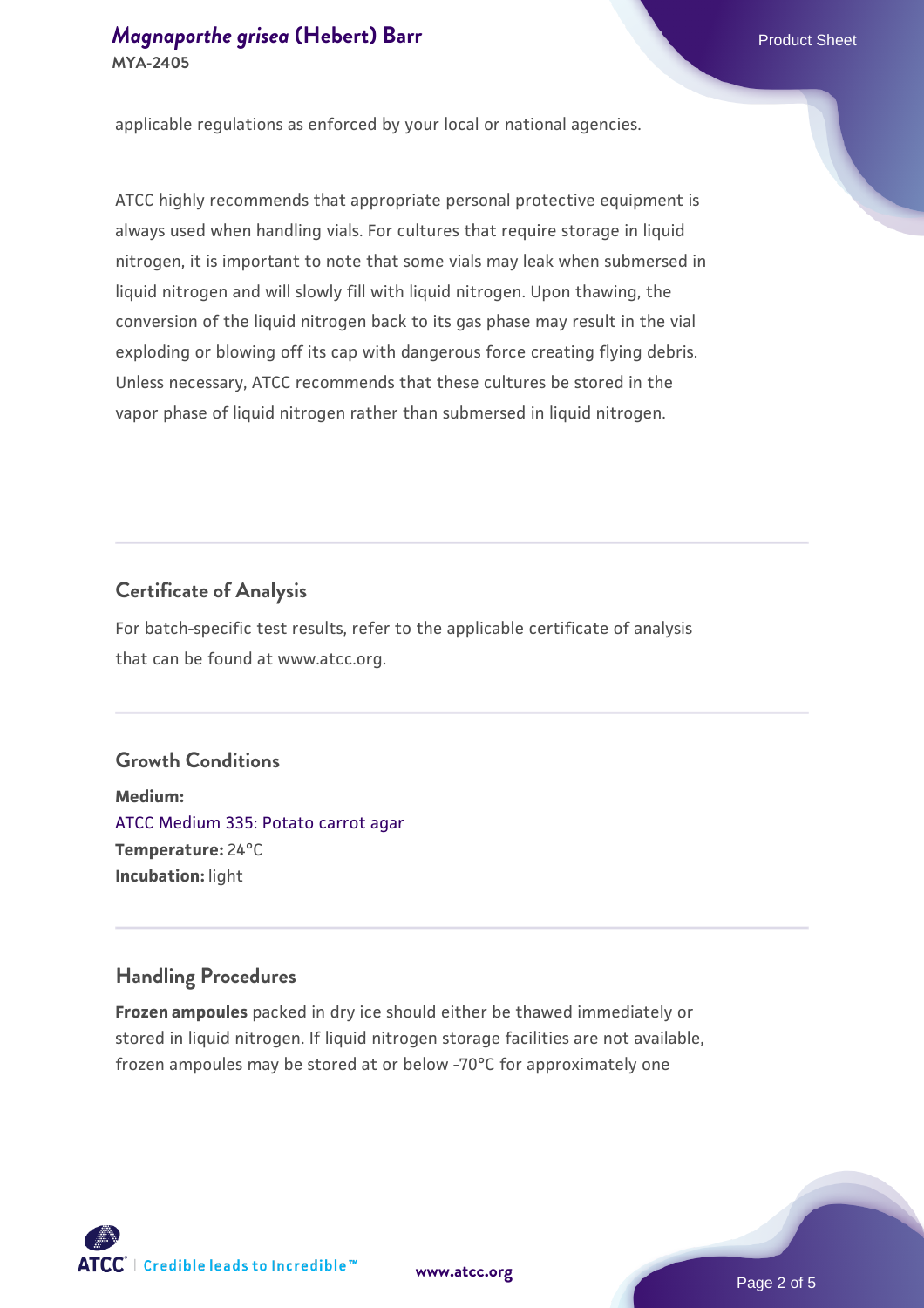applicable regulations as enforced by your local or national agencies.

ATCC highly recommends that appropriate personal protective equipment is always used when handling vials. For cultures that require storage in liquid nitrogen, it is important to note that some vials may leak when submersed in liquid nitrogen and will slowly fill with liquid nitrogen. Upon thawing, the conversion of the liquid nitrogen back to its gas phase may result in the vial exploding or blowing off its cap with dangerous force creating flying debris. Unless necessary, ATCC recommends that these cultures be stored in the vapor phase of liquid nitrogen rather than submersed in liquid nitrogen.

#### **Certificate of Analysis**

For batch-specific test results, refer to the applicable certificate of analysis that can be found at www.atcc.org.

## **Growth Conditions**

**Medium:**  [ATCC Medium 335: Potato carrot agar](https://www.atcc.org/-/media/product-assets/documents/microbial-media-formulations/3/3/5/atcc-medium-335.pdf?rev=a7055ab8b3c54646a9d0bdf7b34c1606) **Temperature:** 24°C **Incubation:** light

#### **Handling Procedures**

**Frozen ampoules** packed in dry ice should either be thawed immediately or stored in liquid nitrogen. If liquid nitrogen storage facilities are not available, frozen ampoules may be stored at or below -70°C for approximately one



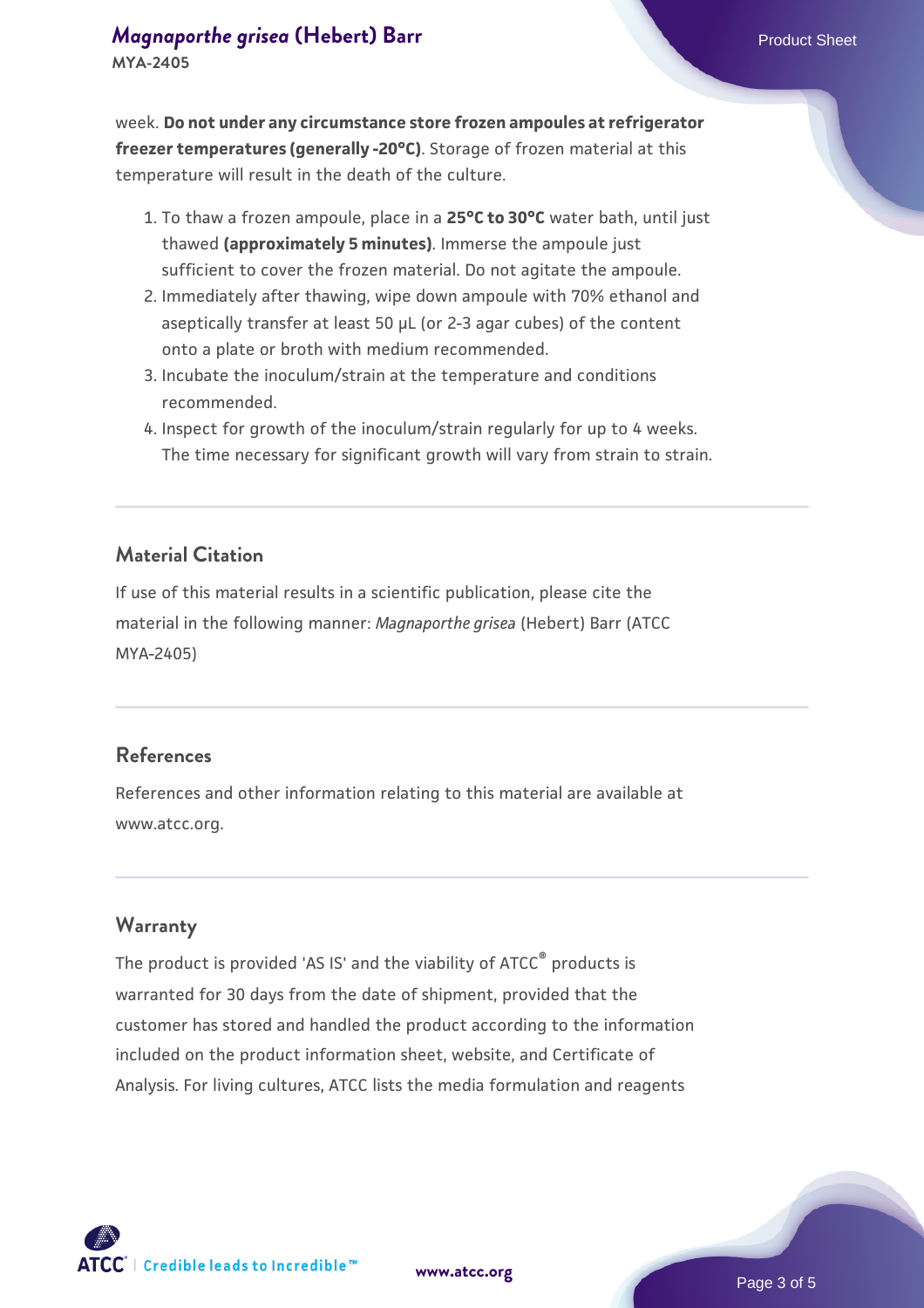### *[Magnaporthe grisea](https://www.atcc.org/products/mya-2405)* [\(Hebert\) Barr](https://www.atcc.org/products/mya-2405) **Product Sheet** Product Sheet **MYA-2405**

week. **Do not under any circumstance store frozen ampoules at refrigerator freezer temperatures (generally -20°C)**. Storage of frozen material at this temperature will result in the death of the culture.

- 1. To thaw a frozen ampoule, place in a **25°C to 30°C** water bath, until just thawed **(approximately 5 minutes)**. Immerse the ampoule just sufficient to cover the frozen material. Do not agitate the ampoule.
- 2. Immediately after thawing, wipe down ampoule with 70% ethanol and aseptically transfer at least 50 µL (or 2-3 agar cubes) of the content onto a plate or broth with medium recommended.
- Incubate the inoculum/strain at the temperature and conditions 3. recommended.
- 4. Inspect for growth of the inoculum/strain regularly for up to 4 weeks. The time necessary for significant growth will vary from strain to strain.

## **Material Citation**

If use of this material results in a scientific publication, please cite the material in the following manner: *Magnaporthe grisea* (Hebert) Barr (ATCC MYA-2405)

#### **References**

References and other information relating to this material are available at www.atcc.org.

#### **Warranty**

The product is provided 'AS IS' and the viability of ATCC® products is warranted for 30 days from the date of shipment, provided that the customer has stored and handled the product according to the information included on the product information sheet, website, and Certificate of Analysis. For living cultures, ATCC lists the media formulation and reagents

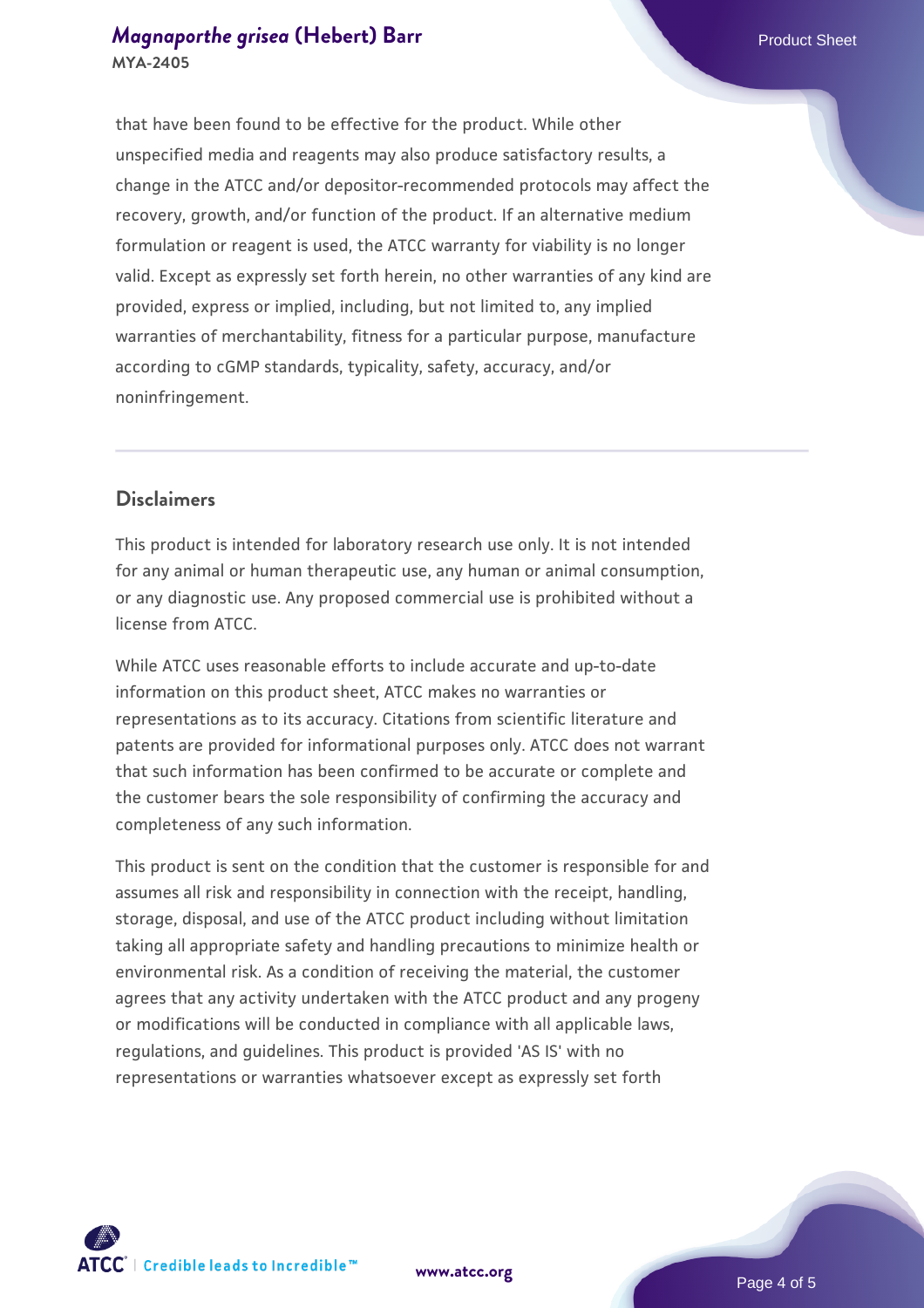that have been found to be effective for the product. While other unspecified media and reagents may also produce satisfactory results, a change in the ATCC and/or depositor-recommended protocols may affect the recovery, growth, and/or function of the product. If an alternative medium formulation or reagent is used, the ATCC warranty for viability is no longer valid. Except as expressly set forth herein, no other warranties of any kind are provided, express or implied, including, but not limited to, any implied warranties of merchantability, fitness for a particular purpose, manufacture according to cGMP standards, typicality, safety, accuracy, and/or noninfringement.

## **Disclaimers**

This product is intended for laboratory research use only. It is not intended for any animal or human therapeutic use, any human or animal consumption, or any diagnostic use. Any proposed commercial use is prohibited without a license from ATCC.

While ATCC uses reasonable efforts to include accurate and up-to-date information on this product sheet, ATCC makes no warranties or representations as to its accuracy. Citations from scientific literature and patents are provided for informational purposes only. ATCC does not warrant that such information has been confirmed to be accurate or complete and the customer bears the sole responsibility of confirming the accuracy and completeness of any such information.

This product is sent on the condition that the customer is responsible for and assumes all risk and responsibility in connection with the receipt, handling, storage, disposal, and use of the ATCC product including without limitation taking all appropriate safety and handling precautions to minimize health or environmental risk. As a condition of receiving the material, the customer agrees that any activity undertaken with the ATCC product and any progeny or modifications will be conducted in compliance with all applicable laws, regulations, and guidelines. This product is provided 'AS IS' with no representations or warranties whatsoever except as expressly set forth



**[www.atcc.org](http://www.atcc.org)**

Page 4 of 5